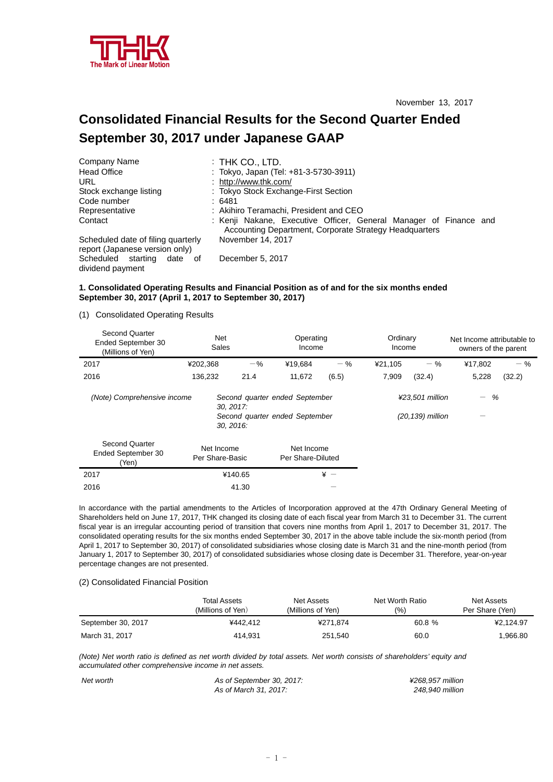

# **Consolidated Financial Results for the Second Quarter Ended September 30, 2017 under Japanese GAAP**

| Company Name                                                         | $:$ THK CO., LTD.                                                                                                           |  |  |  |  |  |
|----------------------------------------------------------------------|-----------------------------------------------------------------------------------------------------------------------------|--|--|--|--|--|
| <b>Head Office</b>                                                   | : Tokyo, Japan (Tel: +81-3-5730-3911)                                                                                       |  |  |  |  |  |
| URL                                                                  | : http://www.thk.com/                                                                                                       |  |  |  |  |  |
| Stock exchange listing                                               | : Tokyo Stock Exchange-First Section                                                                                        |  |  |  |  |  |
| Code number                                                          | :6481                                                                                                                       |  |  |  |  |  |
| Representative                                                       | : Akihiro Teramachi, President and CEO                                                                                      |  |  |  |  |  |
| Contact                                                              | : Kenji Nakane, Executive Officer, General Manager of Finance and<br>Accounting Department, Corporate Strategy Headquarters |  |  |  |  |  |
| Scheduled date of filing quarterly<br>report (Japanese version only) | November 14, 2017                                                                                                           |  |  |  |  |  |
| Scheduled starting<br>date<br>ot<br>dividend payment                 | December 5, 2017                                                                                                            |  |  |  |  |  |

# **1. Consolidated Operating Results and Financial Position as of and for the six months ended September 30, 2017 (April 1, 2017 to September 30, 2017)**

(1) Consolidated Operating Results

| <b>Second Quarter</b><br>Ended September 30<br>(Millions of Yen) | Net<br>Sales                  |         | Operating<br>Income                                              |       | Ordinary<br>Income |                                     | Net Income attributable to<br>owners of the parent |        |
|------------------------------------------------------------------|-------------------------------|---------|------------------------------------------------------------------|-------|--------------------|-------------------------------------|----------------------------------------------------|--------|
| 2017                                                             | ¥202,368                      | $-$ %   | ¥19,684                                                          | $-$ % | ¥21,105            | $-$ %                               | ¥17.802                                            | $-$ %  |
| 2016                                                             | 136,232                       | 21.4    | 11,672                                                           | (6.5) | 7,909              | (32.4)                              | 5,228                                              | (32.2) |
| (Note) Comprehensive income                                      | $30, 2017$ :<br>30, 2016.     |         | Second quarter ended September<br>Second quarter ended September |       |                    | ¥23,501 million<br>(20,139) million | %<br>$\overline{\phantom{0}}$                      |        |
| <b>Second Quarter</b><br>Ended September 30<br>(Yen)             | Net Income<br>Per Share-Basic |         | Net Income<br>Per Share-Diluted                                  |       |                    |                                     |                                                    |        |
| 2017                                                             |                               | ¥140.65 |                                                                  | $* -$ |                    |                                     |                                                    |        |
| 2016                                                             |                               | 41.30   |                                                                  |       |                    |                                     |                                                    |        |

In accordance with the partial amendments to the Articles of Incorporation approved at the 47th Ordinary General Meeting of Shareholders held on June 17, 2017, THK changed its closing date of each fiscal year from March 31 to December 31. The current fiscal year is an irregular accounting period of transition that covers nine months from April 1, 2017 to December 31, 2017. The consolidated operating results for the six months ended September 30, 2017 in the above table include the six-month period (from April 1, 2017 to September 30, 2017) of consolidated subsidiaries whose closing date is March 31 and the nine-month period (from January 1, 2017 to September 30, 2017) of consolidated subsidiaries whose closing date is December 31. Therefore, year-on-year percentage changes are not presented.

### (2) Consolidated Financial Position

|                    | <b>Total Assets</b><br>(Millions of Yen) | Net Assets<br>(Millions of Yen) | Net Worth Ratio<br>(9/0) | Net Assets<br>Per Share (Yen) |
|--------------------|------------------------------------------|---------------------------------|--------------------------|-------------------------------|
| September 30, 2017 | ¥442.412                                 | ¥271.874                        | 60.8 %                   | ¥2.124.97                     |
| March 31, 2017     | 414.931                                  | 251.540                         | 60.0                     | 1,966.80                      |

*(Note) Net worth ratio is defined as net worth divided by total assets. Net worth consists of shareholders' equity and accumulated other comprehensive income in net assets.* 

| Net worth | As of September 30, 2017: | ¥268.957 million |
|-----------|---------------------------|------------------|
|           | As of March 31, 2017:     | 248.940 million  |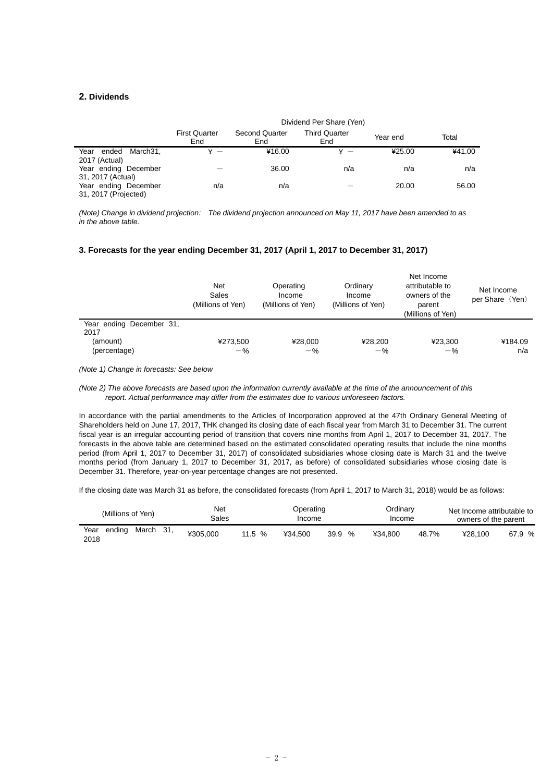### **2. Dividends**

|                                              | <b>First Quarter</b><br>End | <b>Second Quarter</b><br>End | <b>Third Quarter</b><br>End | Year end | Total  |
|----------------------------------------------|-----------------------------|------------------------------|-----------------------------|----------|--------|
| Year<br>March31.<br>ended<br>2017 (Actual)   | $\mathbf{x}$ $-$            | ¥16.00                       | ¥ —                         | ¥25.00   | ¥41.00 |
| Year ending December<br>31, 2017 (Actual)    |                             | 36.00                        | n/a                         | n/a      | n/a    |
| Year ending December<br>31, 2017 (Projected) | n/a                         | n/a                          |                             | 20.00    | 56.00  |

*(Note) Change in dividend projection: The dividend projection announced on May 11, 2017 have been amended to as in the above table.* 

### **3. Forecasts for the year ending December 31, 2017 (April 1, 2017 to December 31, 2017)**

|                                                              | Net<br>Sales<br>(Millions of Yen) | Operating<br>Income<br>(Millions of Yen) | Ordinary<br>Income<br>(Millions of Yen) | Net Income<br>attributable to<br>owners of the<br>parent<br>(Millions of Yen) | Net Income<br>per Share (Yen) |
|--------------------------------------------------------------|-----------------------------------|------------------------------------------|-----------------------------------------|-------------------------------------------------------------------------------|-------------------------------|
| Year ending December 31,<br>2017<br>(amount)<br>(percentage) | ¥273,500<br>$-$ %                 | ¥28.000<br>$-$ %                         | ¥28.200<br>$-$ %                        | ¥23.300<br>$-$ %                                                              | ¥184.09<br>n/a                |

*(Note 1) Change in forecasts: See below* 

#### *(Note 2) The above forecasts are based upon the information currently available at the time of the announcement of this report. Actual performance may differ from the estimates due to various unforeseen factors.*

In accordance with the partial amendments to the Articles of Incorporation approved at the 47th Ordinary General Meeting of Shareholders held on June 17, 2017, THK changed its closing date of each fiscal year from March 31 to December 31. The current fiscal year is an irregular accounting period of transition that covers nine months from April 1, 2017 to December 31, 2017. The forecasts in the above table are determined based on the estimated consolidated operating results that include the nine months period (from April 1, 2017 to December 31, 2017) of consolidated subsidiaries whose closing date is March 31 and the twelve months period (from January 1, 2017 to December 31, 2017, as before) of consolidated subsidiaries whose closing date is December 31. Therefore, year-on-year percentage changes are not presented.

If the closing date was March 31 as before, the consolidated forecasts (from April 1, 2017 to March 31, 2018) would be as follows:

| (Millions of Yen)                      | Net<br>Sales |          | Operating<br>Income |                       | Ordinary<br>Income |       | Net Income attributable to<br>owners of the parent |        |
|----------------------------------------|--------------|----------|---------------------|-----------------------|--------------------|-------|----------------------------------------------------|--------|
| Year<br>ending<br>31.<br>March<br>2018 | ¥305.000     | 11.5 $%$ | ¥34.500             | 39.9<br>$\frac{1}{2}$ | ¥34.800            | 48.7% | ¥28.100                                            | 67.9 % |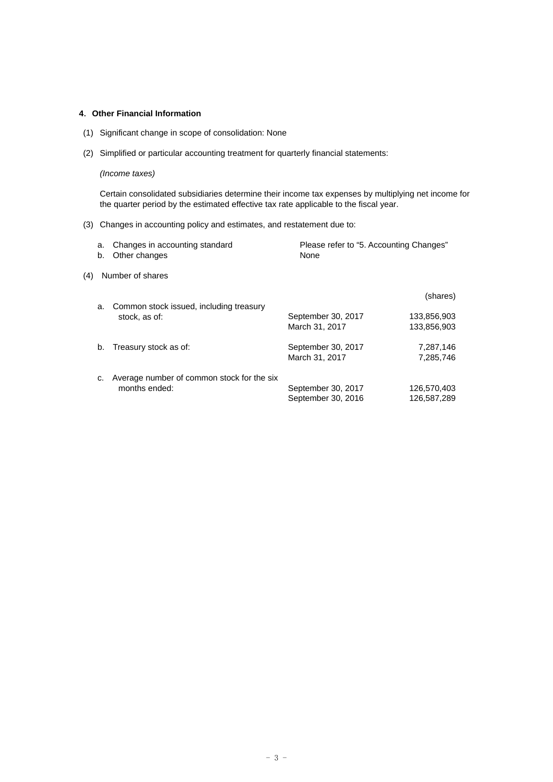# **4**.**Other Financial Information**

- (1) Significant change in scope of consolidation: None
- (2) Simplified or particular accounting treatment for quarterly financial statements:

### *(Income taxes)*

Certain consolidated subsidiaries determine their income tax expenses by multiplying net income for the quarter period by the estimated effective tax rate applicable to the fiscal year.

(3) Changes in accounting policy and estimates, and restatement due to:

|     | a.<br>b. | Changes in accounting standard<br>Other changes             | Please refer to "5. Accounting Changes"<br>None |                            |
|-----|----------|-------------------------------------------------------------|-------------------------------------------------|----------------------------|
| (4) |          | Number of shares                                            |                                                 |                            |
|     | a.       | Common stock issued, including treasury                     |                                                 | (shares)                   |
|     |          | stock, as of:                                               | September 30, 2017<br>March 31, 2017            | 133,856,903<br>133.856.903 |
|     | b.       | Treasury stock as of:                                       | September 30, 2017<br>March 31, 2017            | 7,287,146<br>7,285,746     |
|     | C.       | Average number of common stock for the six<br>months ended: | September 30, 2017<br>September 30, 2016        | 126,570,403<br>126,587,289 |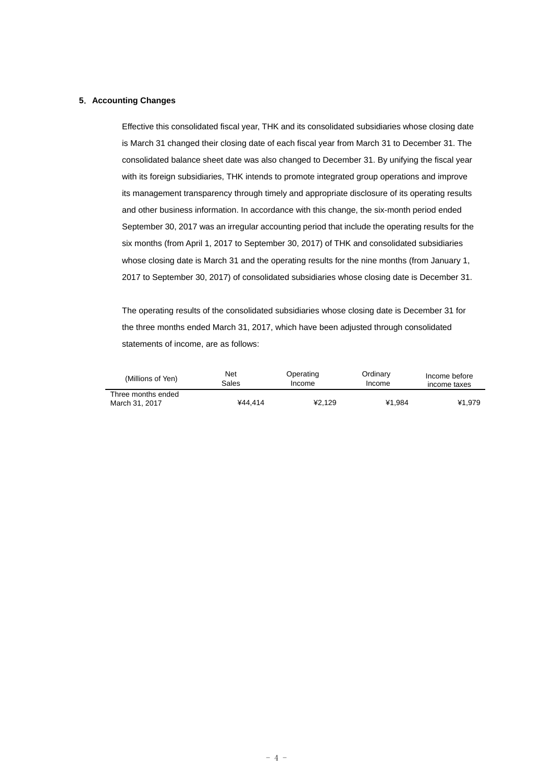## **5**.**Accounting Changes**

Effective this consolidated fiscal year, THK and its consolidated subsidiaries whose closing date is March 31 changed their closing date of each fiscal year from March 31 to December 31. The consolidated balance sheet date was also changed to December 31. By unifying the fiscal year with its foreign subsidiaries, THK intends to promote integrated group operations and improve its management transparency through timely and appropriate disclosure of its operating results and other business information. In accordance with this change, the six-month period ended September 30, 2017 was an irregular accounting period that include the operating results for the six months (from April 1, 2017 to September 30, 2017) of THK and consolidated subsidiaries whose closing date is March 31 and the operating results for the nine months (from January 1, 2017 to September 30, 2017) of consolidated subsidiaries whose closing date is December 31.

The operating results of the consolidated subsidiaries whose closing date is December 31 for the three months ended March 31, 2017, which have been adjusted through consolidated statements of income, are as follows:

| (Millions of Yen)                    | Net     | Operating | Ordinarv | Income before |
|--------------------------------------|---------|-----------|----------|---------------|
|                                      | Sales   | Income    | Income   | income taxes  |
| Three months ended<br>March 31, 2017 | ¥44.414 | ¥2.129    | ¥1.984   | ¥1.979        |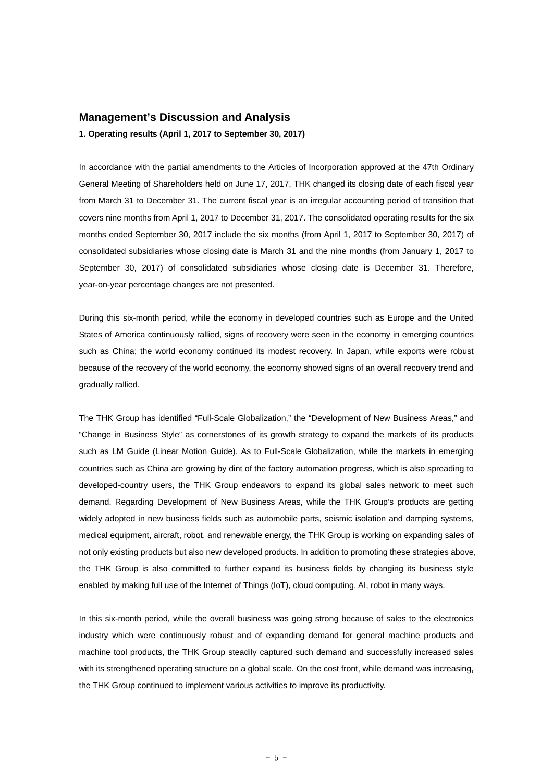# **Management's Discussion and Analysis**

**1. Operating results (April 1, 2017 to September 30, 2017)** 

In accordance with the partial amendments to the Articles of Incorporation approved at the 47th Ordinary General Meeting of Shareholders held on June 17, 2017, THK changed its closing date of each fiscal year from March 31 to December 31. The current fiscal year is an irregular accounting period of transition that covers nine months from April 1, 2017 to December 31, 2017. The consolidated operating results for the six months ended September 30, 2017 include the six months (from April 1, 2017 to September 30, 2017) of consolidated subsidiaries whose closing date is March 31 and the nine months (from January 1, 2017 to September 30, 2017) of consolidated subsidiaries whose closing date is December 31. Therefore, year-on-year percentage changes are not presented.

During this six-month period, while the economy in developed countries such as Europe and the United States of America continuously rallied, signs of recovery were seen in the economy in emerging countries such as China; the world economy continued its modest recovery. In Japan, while exports were robust because of the recovery of the world economy, the economy showed signs of an overall recovery trend and gradually rallied.

The THK Group has identified "Full-Scale Globalization," the "Development of New Business Areas," and "Change in Business Style" as cornerstones of its growth strategy to expand the markets of its products such as LM Guide (Linear Motion Guide). As to Full-Scale Globalization, while the markets in emerging countries such as China are growing by dint of the factory automation progress, which is also spreading to developed-country users, the THK Group endeavors to expand its global sales network to meet such demand. Regarding Development of New Business Areas, while the THK Group's products are getting widely adopted in new business fields such as automobile parts, seismic isolation and damping systems, medical equipment, aircraft, robot, and renewable energy, the THK Group is working on expanding sales of not only existing products but also new developed products. In addition to promoting these strategies above, the THK Group is also committed to further expand its business fields by changing its business style enabled by making full use of the Internet of Things (IoT), cloud computing, AI, robot in many ways.

In this six-month period, while the overall business was going strong because of sales to the electronics industry which were continuously robust and of expanding demand for general machine products and machine tool products, the THK Group steadily captured such demand and successfully increased sales with its strengthened operating structure on a global scale. On the cost front, while demand was increasing, the THK Group continued to implement various activities to improve its productivity.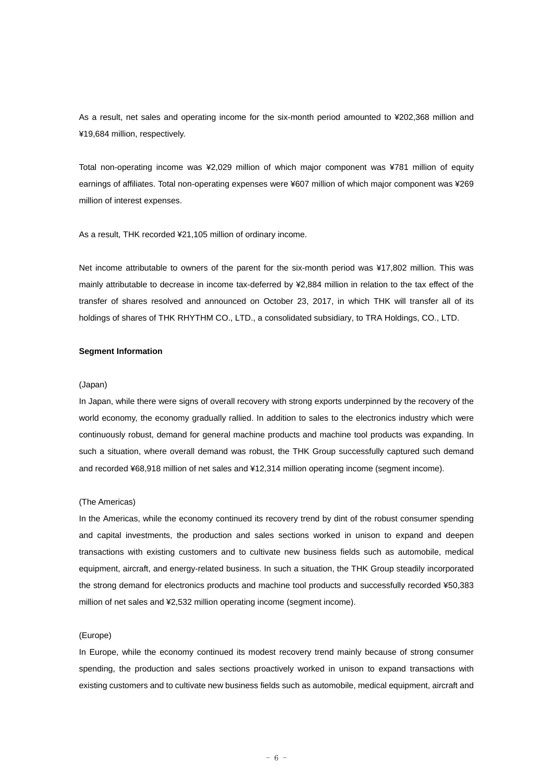As a result, net sales and operating income for the six-month period amounted to ¥202,368 million and ¥19,684 million, respectively.

Total non-operating income was ¥2,029 million of which major component was ¥781 million of equity earnings of affiliates. Total non-operating expenses were ¥607 million of which major component was ¥269 million of interest expenses.

As a result, THK recorded ¥21,105 million of ordinary income.

Net income attributable to owners of the parent for the six-month period was ¥17,802 million. This was mainly attributable to decrease in income tax-deferred by ¥2,884 million in relation to the tax effect of the transfer of shares resolved and announced on October 23, 2017, in which THK will transfer all of its holdings of shares of THK RHYTHM CO., LTD., a consolidated subsidiary, to TRA Holdings, CO., LTD.

### **Segment Information**

#### (Japan)

In Japan, while there were signs of overall recovery with strong exports underpinned by the recovery of the world economy, the economy gradually rallied. In addition to sales to the electronics industry which were continuously robust, demand for general machine products and machine tool products was expanding. In such a situation, where overall demand was robust, the THK Group successfully captured such demand and recorded ¥68,918 million of net sales and ¥12,314 million operating income (segment income).

### (The Americas)

In the Americas, while the economy continued its recovery trend by dint of the robust consumer spending and capital investments, the production and sales sections worked in unison to expand and deepen transactions with existing customers and to cultivate new business fields such as automobile, medical equipment, aircraft, and energy-related business. In such a situation, the THK Group steadily incorporated the strong demand for electronics products and machine tool products and successfully recorded ¥50,383 million of net sales and ¥2,532 million operating income (segment income).

### (Europe)

In Europe, while the economy continued its modest recovery trend mainly because of strong consumer spending, the production and sales sections proactively worked in unison to expand transactions with existing customers and to cultivate new business fields such as automobile, medical equipment, aircraft and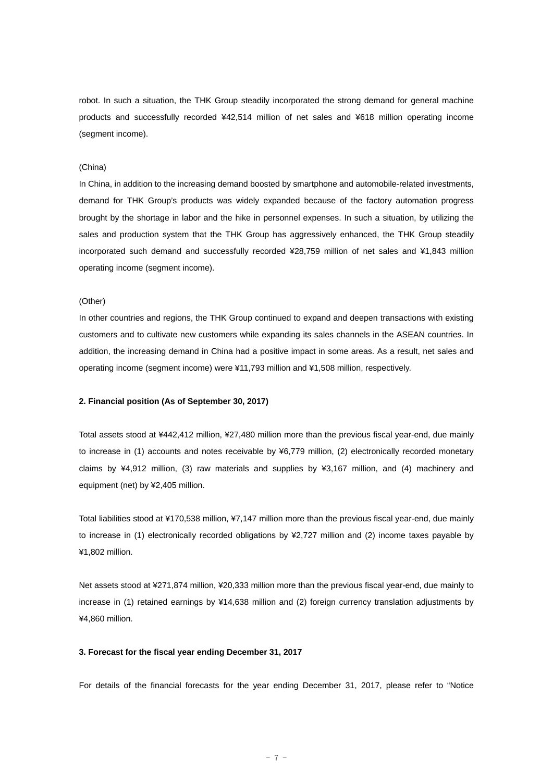robot. In such a situation, the THK Group steadily incorporated the strong demand for general machine products and successfully recorded ¥42,514 million of net sales and ¥618 million operating income (segment income).

### (China)

In China, in addition to the increasing demand boosted by smartphone and automobile-related investments, demand for THK Group's products was widely expanded because of the factory automation progress brought by the shortage in labor and the hike in personnel expenses. In such a situation, by utilizing the sales and production system that the THK Group has aggressively enhanced, the THK Group steadily incorporated such demand and successfully recorded ¥28,759 million of net sales and ¥1,843 million operating income (segment income).

### (Other)

In other countries and regions, the THK Group continued to expand and deepen transactions with existing customers and to cultivate new customers while expanding its sales channels in the ASEAN countries. In addition, the increasing demand in China had a positive impact in some areas. As a result, net sales and operating income (segment income) were ¥11,793 million and ¥1,508 million, respectively.

### **2. Financial position (As of September 30, 2017)**

Total assets stood at ¥442,412 million, ¥27,480 million more than the previous fiscal year-end, due mainly to increase in (1) accounts and notes receivable by ¥6,779 million, (2) electronically recorded monetary claims by ¥4,912 million, (3) raw materials and supplies by ¥3,167 million, and (4) machinery and equipment (net) by ¥2,405 million.

Total liabilities stood at ¥170,538 million, ¥7,147 million more than the previous fiscal year-end, due mainly to increase in (1) electronically recorded obligations by ¥2,727 million and (2) income taxes payable by ¥1,802 million.

Net assets stood at ¥271,874 million, ¥20,333 million more than the previous fiscal year-end, due mainly to increase in (1) retained earnings by ¥14,638 million and (2) foreign currency translation adjustments by ¥4,860 million.

### **3. Forecast for the fiscal year ending December 31, 2017**

For details of the financial forecasts for the year ending December 31, 2017, please refer to "Notice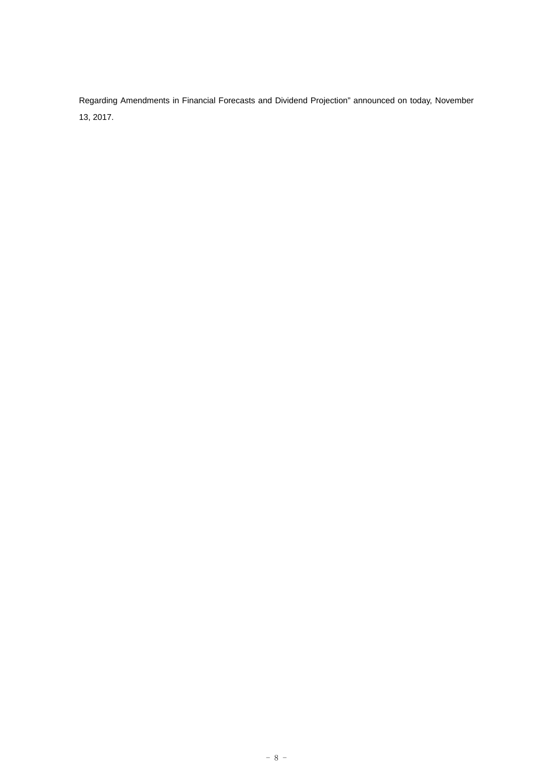Regarding Amendments in Financial Forecasts and Dividend Projection" announced on today, November 13, 2017.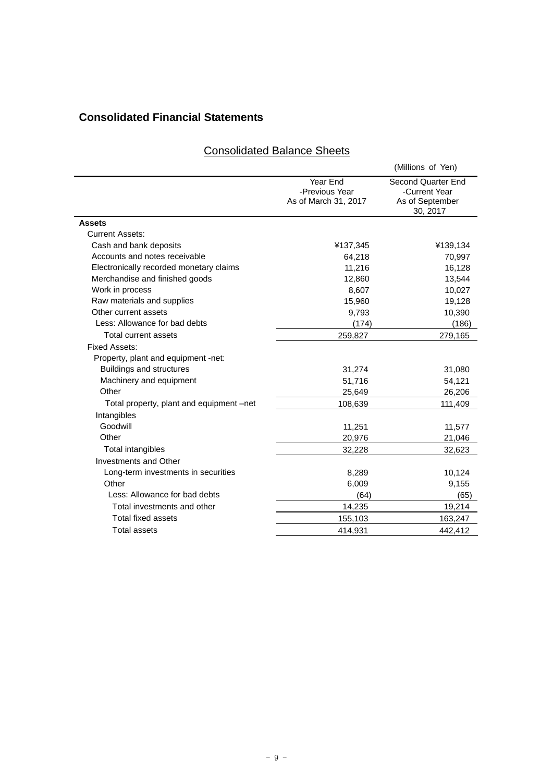# **Consolidated Financial Statements**

|                                          |                                                    | (Millions of Yen)                                                  |
|------------------------------------------|----------------------------------------------------|--------------------------------------------------------------------|
|                                          | Year End<br>-Previous Year<br>As of March 31, 2017 | Second Quarter End<br>-Current Year<br>As of September<br>30, 2017 |
| <b>Assets</b>                            |                                                    |                                                                    |
| <b>Current Assets:</b>                   |                                                    |                                                                    |
| Cash and bank deposits                   | ¥137,345                                           | ¥139,134                                                           |
| Accounts and notes receivable            | 64,218                                             | 70,997                                                             |
| Electronically recorded monetary claims  | 11,216                                             | 16,128                                                             |
| Merchandise and finished goods           | 12,860                                             | 13,544                                                             |
| Work in process                          | 8,607                                              | 10,027                                                             |
| Raw materials and supplies               | 15,960                                             | 19,128                                                             |
| Other current assets                     | 9,793                                              | 10,390                                                             |
| Less: Allowance for bad debts            | (174)                                              | (186)                                                              |
| Total current assets                     | 259,827                                            | 279,165                                                            |
| <b>Fixed Assets:</b>                     |                                                    |                                                                    |
| Property, plant and equipment -net:      |                                                    |                                                                    |
| <b>Buildings and structures</b>          | 31,274                                             | 31,080                                                             |
| Machinery and equipment                  | 51,716                                             | 54,121                                                             |
| Other                                    | 25,649                                             | 26,206                                                             |
| Total property, plant and equipment -net | 108,639                                            | 111,409                                                            |
| Intangibles                              |                                                    |                                                                    |
| Goodwill                                 | 11,251                                             | 11,577                                                             |
| Other                                    | 20,976                                             | 21,046                                                             |
| Total intangibles                        | 32,228                                             | 32,623                                                             |
| <b>Investments and Other</b>             |                                                    |                                                                    |
| Long-term investments in securities      | 8,289                                              | 10,124                                                             |
| Other                                    | 6,009                                              | 9,155                                                              |
| Less: Allowance for bad debts            | (64)                                               | (65)                                                               |
| Total investments and other              | 14,235                                             | 19,214                                                             |
| <b>Total fixed assets</b>                | 155,103                                            | 163,247                                                            |
|                                          |                                                    |                                                                    |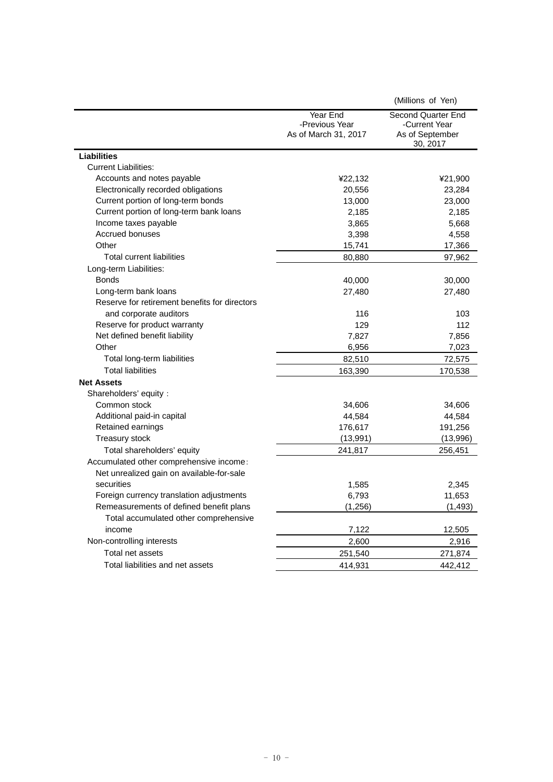|                                               |                                                    | (Millions of Yen)                                                  |
|-----------------------------------------------|----------------------------------------------------|--------------------------------------------------------------------|
|                                               | Year End<br>-Previous Year<br>As of March 31, 2017 | Second Quarter End<br>-Current Year<br>As of September<br>30, 2017 |
| <b>Liabilities</b>                            |                                                    |                                                                    |
| <b>Current Liabilities:</b>                   |                                                    |                                                                    |
| Accounts and notes payable                    | ¥22,132                                            | ¥21,900                                                            |
| Electronically recorded obligations           | 20,556                                             | 23,284                                                             |
| Current portion of long-term bonds            | 13,000                                             | 23,000                                                             |
| Current portion of long-term bank loans       | 2,185                                              | 2,185                                                              |
| Income taxes payable                          | 3,865                                              | 5,668                                                              |
| Accrued bonuses                               | 3,398                                              | 4,558                                                              |
| Other                                         | 15,741                                             | 17,366                                                             |
| Total current liabilities                     | 80,880                                             | 97,962                                                             |
| Long-term Liabilities:                        |                                                    |                                                                    |
| <b>Bonds</b>                                  | 40,000                                             | 30,000                                                             |
| Long-term bank loans                          | 27,480                                             | 27,480                                                             |
| Reserve for retirement benefits for directors |                                                    |                                                                    |
| and corporate auditors                        | 116                                                | 103                                                                |
| Reserve for product warranty                  | 129                                                | 112                                                                |
| Net defined benefit liability                 | 7,827                                              | 7,856                                                              |
| Other                                         | 6,956                                              | 7,023                                                              |
| Total long-term liabilities                   | 82,510                                             | 72,575                                                             |
| <b>Total liabilities</b>                      | 163,390                                            | 170,538                                                            |
| <b>Net Assets</b>                             |                                                    |                                                                    |
| Shareholders' equity:                         |                                                    |                                                                    |
| Common stock                                  | 34,606                                             | 34,606                                                             |
| Additional paid-in capital                    | 44,584                                             | 44,584                                                             |
| Retained earnings                             | 176,617                                            | 191,256                                                            |
| Treasury stock                                | (13, 991)                                          | (13,996)                                                           |
| Total shareholders' equity                    | 241,817                                            | 256,451                                                            |
| Accumulated other comprehensive income:       |                                                    |                                                                    |
| Net unrealized gain on available-for-sale     |                                                    |                                                                    |
| securities                                    | 1,585                                              | 2,345                                                              |
| Foreign currency translation adjustments      | 6,793                                              | 11,653                                                             |
| Remeasurements of defined benefit plans       | (1, 256)                                           | (1, 493)                                                           |
| Total accumulated other comprehensive         |                                                    |                                                                    |
| income                                        | 7,122                                              | 12,505                                                             |
| Non-controlling interests                     | 2,600                                              | 2,916                                                              |
| Total net assets                              | 251,540                                            | 271,874                                                            |
| Total liabilities and net assets              | 414,931                                            | 442.412                                                            |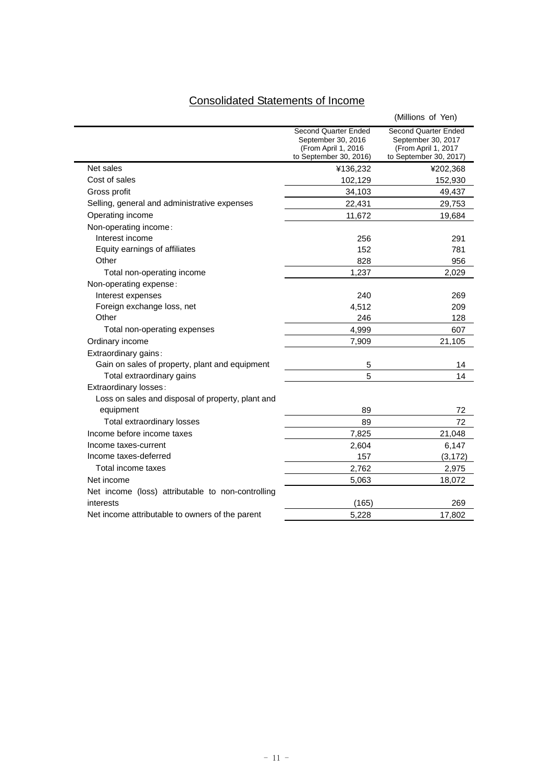# Consolidated Statements of Income

|                                                   |                                                                                              | (Millions of Yen)                                                                           |
|---------------------------------------------------|----------------------------------------------------------------------------------------------|---------------------------------------------------------------------------------------------|
|                                                   | Second Quarter Ended<br>September 30, 2016<br>(From April 1, 2016)<br>to September 30, 2016) | Second Quarter Ended<br>September 30, 2017<br>(From April 1, 2017<br>to September 30, 2017) |
| Net sales                                         | ¥136,232                                                                                     | ¥202,368                                                                                    |
| Cost of sales                                     | 102,129                                                                                      | 152,930                                                                                     |
| Gross profit                                      | 34,103                                                                                       | 49,437                                                                                      |
| Selling, general and administrative expenses      | 22,431                                                                                       | 29,753                                                                                      |
| Operating income                                  | 11,672                                                                                       | 19,684                                                                                      |
| Non-operating income:                             |                                                                                              |                                                                                             |
| Interest income                                   | 256                                                                                          | 291                                                                                         |
| Equity earnings of affiliates                     | 152                                                                                          | 781                                                                                         |
| Other                                             | 828                                                                                          | 956                                                                                         |
| Total non-operating income                        | 1,237                                                                                        | 2,029                                                                                       |
| Non-operating expense:                            |                                                                                              |                                                                                             |
| Interest expenses                                 | 240                                                                                          | 269                                                                                         |
| Foreign exchange loss, net                        | 4,512                                                                                        | 209                                                                                         |
| Other                                             | 246                                                                                          | 128                                                                                         |
| Total non-operating expenses                      | 4,999                                                                                        | 607                                                                                         |
| Ordinary income                                   | 7,909                                                                                        | 21,105                                                                                      |
| Extraordinary gains:                              |                                                                                              |                                                                                             |
| Gain on sales of property, plant and equipment    | 5                                                                                            | 14                                                                                          |
| Total extraordinary gains                         | 5                                                                                            | 14                                                                                          |
| Extraordinary losses:                             |                                                                                              |                                                                                             |
| Loss on sales and disposal of property, plant and |                                                                                              |                                                                                             |
| equipment                                         | 89                                                                                           | 72                                                                                          |
| <b>Total extraordinary losses</b>                 | 89                                                                                           | 72                                                                                          |
| Income before income taxes                        | 7,825                                                                                        | 21,048                                                                                      |
| Income taxes-current                              | 2,604                                                                                        | 6,147                                                                                       |
| Income taxes-deferred                             | 157                                                                                          | (3, 172)                                                                                    |
| Total income taxes                                | 2,762                                                                                        | 2,975                                                                                       |
| Net income                                        | 5,063                                                                                        | 18,072                                                                                      |
| Net income (loss) attributable to non-controlling |                                                                                              |                                                                                             |
| interests                                         | (165)                                                                                        | 269                                                                                         |
| Net income attributable to owners of the parent   | 5,228                                                                                        | 17,802                                                                                      |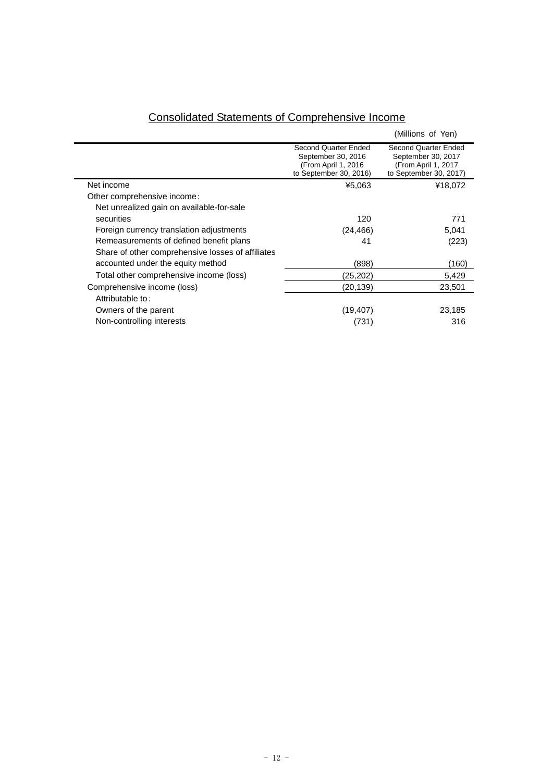|                                                   |                                                                                             | (Millions of Yen)                                                                                  |
|---------------------------------------------------|---------------------------------------------------------------------------------------------|----------------------------------------------------------------------------------------------------|
|                                                   | Second Quarter Ended<br>September 30, 2016<br>(From April 1, 2016<br>to September 30, 2016) | <b>Second Quarter Ended</b><br>September 30, 2017<br>(From April 1, 2017<br>to September 30, 2017) |
| Net income                                        | ¥5,063                                                                                      | ¥18,072                                                                                            |
| Other comprehensive income:                       |                                                                                             |                                                                                                    |
| Net unrealized gain on available-for-sale         |                                                                                             |                                                                                                    |
| securities                                        | 120                                                                                         | 771                                                                                                |
| Foreign currency translation adjustments          | (24, 466)                                                                                   | 5,041                                                                                              |
| Remeasurements of defined benefit plans           | 41                                                                                          | (223)                                                                                              |
| Share of other comprehensive losses of affiliates |                                                                                             |                                                                                                    |
| accounted under the equity method                 | (898)                                                                                       | (160)                                                                                              |
| Total other comprehensive income (loss)           | (25,202)                                                                                    | 5,429                                                                                              |
| Comprehensive income (loss)                       | (20,139)                                                                                    | 23,501                                                                                             |
| Attributable to:                                  |                                                                                             |                                                                                                    |
| Owners of the parent                              | (19, 407)                                                                                   | 23,185                                                                                             |
| Non-controlling interests                         | (731)                                                                                       | 316                                                                                                |

# Consolidated Statements of Comprehensive Income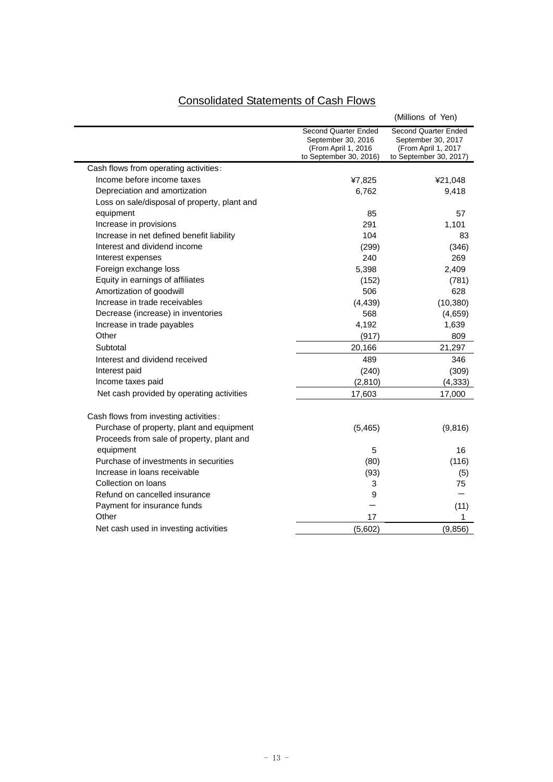| <b>Consolidated Statements of Cash Flows</b> |
|----------------------------------------------|
|----------------------------------------------|

|                                              |                                                                                             | (Millions of Yen)                                                                           |
|----------------------------------------------|---------------------------------------------------------------------------------------------|---------------------------------------------------------------------------------------------|
|                                              | Second Quarter Ended<br>September 30, 2016<br>(From April 1, 2016<br>to September 30, 2016) | Second Quarter Ended<br>September 30, 2017<br>(From April 1, 2017<br>to September 30, 2017) |
| Cash flows from operating activities:        |                                                                                             |                                                                                             |
| Income before income taxes                   | ¥7,825                                                                                      | ¥21,048                                                                                     |
| Depreciation and amortization                | 6,762                                                                                       | 9,418                                                                                       |
| Loss on sale/disposal of property, plant and |                                                                                             |                                                                                             |
| equipment                                    | 85                                                                                          | 57                                                                                          |
| Increase in provisions                       | 291                                                                                         | 1,101                                                                                       |
| Increase in net defined benefit liability    | 104                                                                                         | 83                                                                                          |
| Interest and dividend income                 | (299)                                                                                       | (346)                                                                                       |
| Interest expenses                            | 240                                                                                         | 269                                                                                         |
| Foreign exchange loss                        | 5,398                                                                                       | 2,409                                                                                       |
| Equity in earnings of affiliates             | (152)                                                                                       | (781)                                                                                       |
| Amortization of goodwill                     | 506                                                                                         | 628                                                                                         |
| Increase in trade receivables                | (4, 439)                                                                                    | (10, 380)                                                                                   |
| Decrease (increase) in inventories           | 568                                                                                         | (4,659)                                                                                     |
| Increase in trade payables                   | 4,192                                                                                       | 1,639                                                                                       |
| Other                                        | (917)                                                                                       | 809                                                                                         |
| Subtotal                                     | 20,166                                                                                      | 21,297                                                                                      |
| Interest and dividend received               | 489                                                                                         | 346                                                                                         |
| Interest paid                                | (240)                                                                                       | (309)                                                                                       |
| Income taxes paid                            | (2, 810)                                                                                    | (4, 333)                                                                                    |
| Net cash provided by operating activities    | 17,603                                                                                      | 17,000                                                                                      |
| Cash flows from investing activities:        |                                                                                             |                                                                                             |
| Purchase of property, plant and equipment    | (5,465)                                                                                     | (9,816)                                                                                     |
| Proceeds from sale of property, plant and    |                                                                                             |                                                                                             |
| equipment                                    | 5                                                                                           | 16                                                                                          |
| Purchase of investments in securities        | (80)                                                                                        | (116)                                                                                       |
| Increase in loans receivable                 | (93)                                                                                        | (5)                                                                                         |
| Collection on loans                          | 3                                                                                           | 75                                                                                          |
| Refund on cancelled insurance                | 9                                                                                           |                                                                                             |
| Payment for insurance funds                  |                                                                                             | (11)                                                                                        |
| Other                                        | 17                                                                                          | 1                                                                                           |
| Net cash used in investing activities        | (5,602)                                                                                     | (9,856)                                                                                     |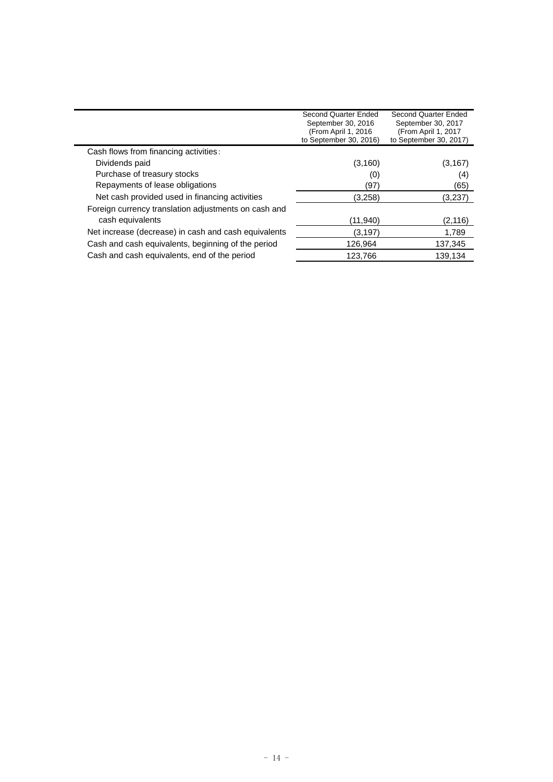|                                                      | Second Quarter Ended   | Second Quarter Ended   |
|------------------------------------------------------|------------------------|------------------------|
|                                                      | September 30, 2016     | September 30, 2017     |
|                                                      | (From April 1, 2016)   | (From April 1, 2017    |
|                                                      | to September 30, 2016) | to September 30, 2017) |
| Cash flows from financing activities:                |                        |                        |
| Dividends paid                                       | (3, 160)               | (3, 167)               |
| Purchase of treasury stocks                          | (0)                    | (4)                    |
| Repayments of lease obligations                      | '97)                   | (65)                   |
| Net cash provided used in financing activities       | (3,258)                | (3.237)                |
| Foreign currency translation adjustments on cash and |                        |                        |
| cash equivalents                                     | (11,940)               | (2, 116)               |
| Net increase (decrease) in cash and cash equivalents | (3, 197)               | 1,789                  |
| Cash and cash equivalents, beginning of the period   | 126,964                | 137,345                |
| Cash and cash equivalents, end of the period         | 123,766                | 139.134                |
|                                                      |                        |                        |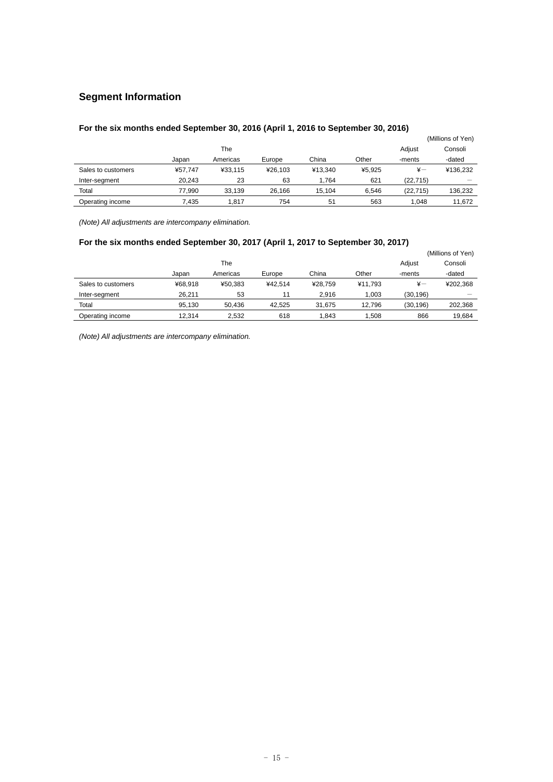# **Segment Information**

# **For the six months ended September 30, 2016 (April 1, 2016 to September 30, 2016)**

|                    |         |          |         |         |        |            | (Millions of Yen) |
|--------------------|---------|----------|---------|---------|--------|------------|-------------------|
|                    |         | The      |         |         |        | Adjust     | Consoli           |
|                    | Japan   | Americas | Europe  | China   | Other  | -ments     | -dated            |
| Sales to customers | ¥57.747 | ¥33.115  | ¥26.103 | ¥13.340 | ¥5.925 | $\ddot{x}$ | ¥136.232          |
| Inter-segment      | 20.243  | 23       | 63      | 1.764   | 621    | (22.715)   |                   |
| Total              | 77.990  | 33.139   | 26.166  | 15.104  | 6.546  | (22, 715)  | 136.232           |
| Operating income   | 7.435   | 1.817    | 754     | 51      | 563    | 1.048      | 11.672            |

*(Note) All adjustments are intercompany elimination.* 

# **For the six months ended September 30, 2017 (April 1, 2017 to September 30, 2017)**

|                    |         |          |         |         |         |               | (Millions of Yen) |
|--------------------|---------|----------|---------|---------|---------|---------------|-------------------|
|                    |         | The      |         |         |         | Adjust        | Consoli           |
|                    | Japan   | Americas | Europe  | China   | Other   | -ments        | -dated            |
| Sales to customers | ¥68.918 | ¥50.383  | ¥42.514 | ¥28.759 | ¥11.793 | $\frac{1}{2}$ | ¥202,368          |
| Inter-segment      | 26.211  | 53       | 11      | 2.916   | 1.003   | (30, 196)     |                   |
| Total              | 95.130  | 50.436   | 42.525  | 31.675  | 12.796  | (30, 196)     | 202.368           |
| Operating income   | 12.314  | 2.532    | 618     | 1.843   | 1.508   | 866           | 19,684            |

*(Note) All adjustments are intercompany elimination.*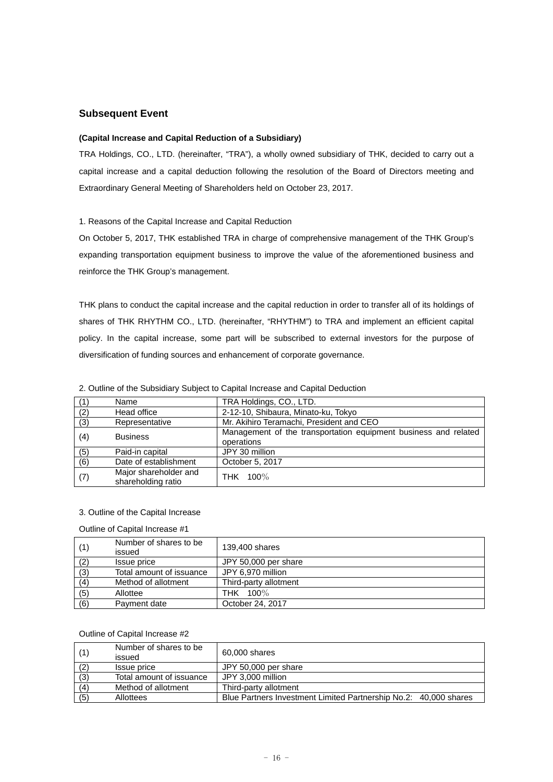# **Subsequent Event**

### **(Capital Increase and Capital Reduction of a Subsidiary)**

TRA Holdings, CO., LTD. (hereinafter, "TRA"), a wholly owned subsidiary of THK, decided to carry out a capital increase and a capital deduction following the resolution of the Board of Directors meeting and Extraordinary General Meeting of Shareholders held on October 23, 2017.

### 1. Reasons of the Capital Increase and Capital Reduction

On October 5, 2017, THK established TRA in charge of comprehensive management of the THK Group's expanding transportation equipment business to improve the value of the aforementioned business and reinforce the THK Group's management.

THK plans to conduct the capital increase and the capital reduction in order to transfer all of its holdings of shares of THK RHYTHM CO., LTD. (hereinafter, "RHYTHM") to TRA and implement an efficient capital policy. In the capital increase, some part will be subscribed to external investors for the purpose of diversification of funding sources and enhancement of corporate governance.

|     | Name                                        | TRA Holdings, CO., LTD.                                                       |  |
|-----|---------------------------------------------|-------------------------------------------------------------------------------|--|
| (2) | Head office                                 | 2-12-10, Shibaura, Minato-ku, Tokyo                                           |  |
| (3) | Representative                              | Mr. Akihiro Teramachi, President and CEO                                      |  |
| (4) | <b>Business</b>                             | Management of the transportation equipment business and related<br>operations |  |
| (5) | Paid-in capital                             | JPY 30 million                                                                |  |
| (6) | Date of establishment                       | October 5, 2017                                                               |  |
| (7) | Major shareholder and<br>shareholding ratio | THK 100%                                                                      |  |

2. Outline of the Subsidiary Subject to Capital Increase and Capital Deduction

# 3. Outline of the Capital Increase

Outline of Capital Increase #1

| (1) | Number of shares to be<br>issued | 139,400 shares        |
|-----|----------------------------------|-----------------------|
| (2) | Issue price                      | JPY 50,000 per share  |
| (3) | Total amount of issuance         | JPY 6.970 million     |
| (4) | Method of allotment              | Third-party allotment |
| (5) | Allottee                         | THK 100%              |
| (6) | Payment date                     | October 24, 2017      |

### Outline of Capital Increase #2

|     | Number of shares to be<br>issued | 60,000 shares                                                    |
|-----|----------------------------------|------------------------------------------------------------------|
| (2) | Issue price                      | JPY 50,000 per share                                             |
| (3) | Total amount of issuance         | JPY 3.000 million                                                |
| (4) | Method of allotment              | Third-party allotment                                            |
| (5) | <b>Allottees</b>                 | Blue Partners Investment Limited Partnership No.2: 40,000 shares |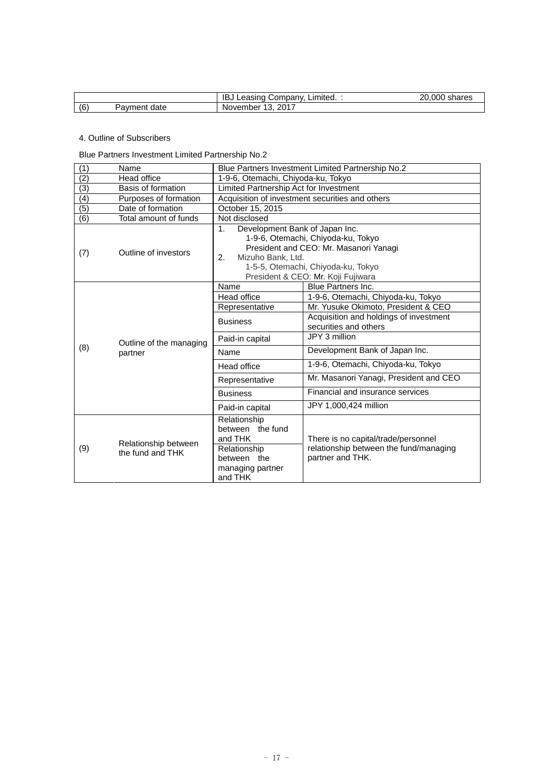|     |                 | IB<br>ا∵ompanv<br>Limited. :<br>Leasing<br>∪שו | .000<br>∩∩<br>shares |
|-----|-----------------|------------------------------------------------|----------------------|
| (6) | date<br>'avment | へへィっ<br>November<br>∠∪∴<br>ັ<br>. .            |                      |

# 4. Outline of Subscribers

Blue Partners Investment Limited Partnership No.2

| (1)              | Name                                     | Blue Partners Investment Limited Partnership No.2                                                                                                                                                                                |                                                                                                   |  |  |
|------------------|------------------------------------------|----------------------------------------------------------------------------------------------------------------------------------------------------------------------------------------------------------------------------------|---------------------------------------------------------------------------------------------------|--|--|
| $\overline{(2)}$ | Head office                              | 1-9-6, Otemachi, Chiyoda-ku, Tokyo                                                                                                                                                                                               |                                                                                                   |  |  |
| $\overline{(3)}$ | Basis of formation                       | Limited Partnership Act for Investment                                                                                                                                                                                           |                                                                                                   |  |  |
| $\overline{(4)}$ | Purposes of formation                    | Acquisition of investment securities and others                                                                                                                                                                                  |                                                                                                   |  |  |
| (5)              | Date of formation                        | October 15, 2015                                                                                                                                                                                                                 |                                                                                                   |  |  |
| (6)              | Total amount of funds                    | Not disclosed                                                                                                                                                                                                                    |                                                                                                   |  |  |
| (7)              | Outline of investors                     | Development Bank of Japan Inc.<br>$1_{-}$<br>1-9-6, Otemachi, Chiyoda-ku, Tokyo<br>President and CEO: Mr. Masanori Yanagi<br>Mizuho Bank, Ltd.<br>2.<br>1-5-5, Otemachi, Chiyoda-ku, Tokyo<br>President & CEO: Mr. Koji Fujiwara |                                                                                                   |  |  |
|                  |                                          | Name                                                                                                                                                                                                                             | <b>Blue Partners Inc.</b>                                                                         |  |  |
|                  | Head office                              | 1-9-6, Otemachi, Chiyoda-ku, Tokyo                                                                                                                                                                                               |                                                                                                   |  |  |
|                  | Representative                           | Mr. Yusuke Okimoto, President & CEO                                                                                                                                                                                              |                                                                                                   |  |  |
|                  |                                          | <b>Business</b>                                                                                                                                                                                                                  | Acquisition and holdings of investment<br>securities and others                                   |  |  |
|                  | Outline of the managing                  | Paid-in capital                                                                                                                                                                                                                  | JPY 3 million                                                                                     |  |  |
| (8)              | partner                                  | Name                                                                                                                                                                                                                             | Development Bank of Japan Inc.                                                                    |  |  |
|                  |                                          | Head office                                                                                                                                                                                                                      | 1-9-6, Otemachi, Chiyoda-ku, Tokyo                                                                |  |  |
|                  |                                          | Representative                                                                                                                                                                                                                   | Mr. Masanori Yanagi, President and CEO                                                            |  |  |
|                  |                                          | <b>Business</b>                                                                                                                                                                                                                  | Financial and insurance services                                                                  |  |  |
|                  |                                          | Paid-in capital                                                                                                                                                                                                                  | JPY 1,000,424 million                                                                             |  |  |
| (9)              | Relationship between<br>the fund and THK | Relationship<br>between the fund<br>and THK<br>Relationship<br>between the<br>managing partner                                                                                                                                   | There is no capital/trade/personnel<br>relationship between the fund/managing<br>partner and THK. |  |  |
|                  |                                          | and THK                                                                                                                                                                                                                          |                                                                                                   |  |  |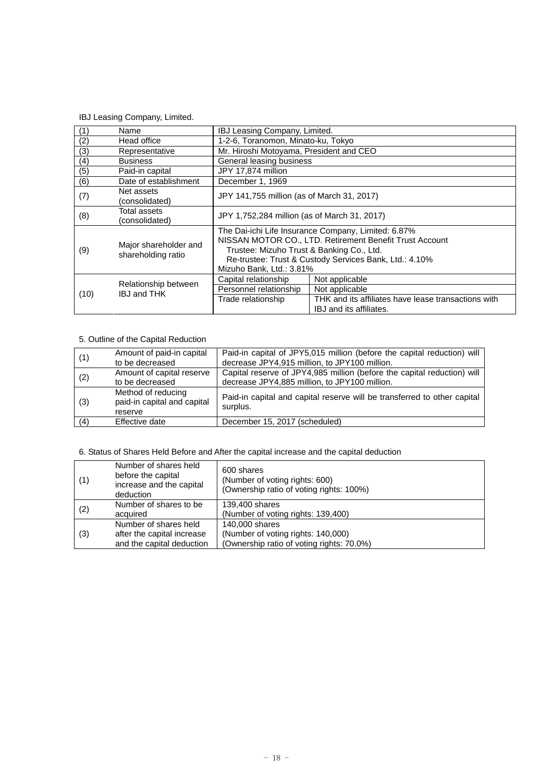# IBJ Leasing Company, Limited.

|      | Name                                        | IBJ Leasing Company, Limited.                                                                                                                                                                                                                     |                                                                                                                    |
|------|---------------------------------------------|---------------------------------------------------------------------------------------------------------------------------------------------------------------------------------------------------------------------------------------------------|--------------------------------------------------------------------------------------------------------------------|
| (2)  | Head office                                 | 1-2-6, Toranomon, Minato-ku, Tokyo                                                                                                                                                                                                                |                                                                                                                    |
| (3)  | Representative                              | Mr. Hiroshi Motoyama, President and CEO                                                                                                                                                                                                           |                                                                                                                    |
| (4)  | <b>Business</b>                             | General leasing business                                                                                                                                                                                                                          |                                                                                                                    |
| (5)  | Paid-in capital                             | JPY 17,874 million                                                                                                                                                                                                                                |                                                                                                                    |
| (6)  | Date of establishment                       | December 1, 1969                                                                                                                                                                                                                                  |                                                                                                                    |
| (7)  | Net assets<br>(consolidated)                | JPY 141,755 million (as of March 31, 2017)                                                                                                                                                                                                        |                                                                                                                    |
| (8)  | Total assets<br>(consolidated)              | JPY 1,752,284 million (as of March 31, 2017)                                                                                                                                                                                                      |                                                                                                                    |
| (9)  | Major shareholder and<br>shareholding ratio | The Dai-ichi Life Insurance Company, Limited: 6.87%<br>NISSAN MOTOR CO., LTD. Retirement Benefit Trust Account<br>Trustee: Mizuho Trust & Banking Co., Ltd.<br>Re-trustee: Trust & Custody Services Bank, Ltd.: 4.10%<br>Mizuho Bank, Ltd.: 3.81% |                                                                                                                    |
| (10) | Relationship between<br><b>IBJ and THK</b>  | Capital relationship<br>Personnel relationship<br>Trade relationship                                                                                                                                                                              | Not applicable<br>Not applicable<br>THK and its affiliates have lease transactions with<br>IBJ and its affiliates. |

# 5. Outline of the Capital Reduction

| (1) | Amount of paid-in capital<br>to be decreased                 | Paid-in capital of JPY5,015 million (before the capital reduction) will<br>decrease JPY4,915 million, to JPY100 million. |
|-----|--------------------------------------------------------------|--------------------------------------------------------------------------------------------------------------------------|
| (2) | Amount of capital reserve<br>to be decreased                 | Capital reserve of JPY4,985 million (before the capital reduction) will<br>decrease JPY4,885 million, to JPY100 million. |
| (3) | Method of reducing<br>paid-in capital and capital<br>reserve | Paid-in capital and capital reserve will be transferred to other capital<br>surplus.                                     |
| (4) | Effective date                                               | December 15, 2017 (scheduled)                                                                                            |

# 6. Status of Shares Held Before and After the capital increase and the capital deduction

| (1) | Number of shares held<br>before the capital<br>increase and the capital<br>deduction | 600 shares<br>(Number of voting rights: 600)<br>(Ownership ratio of voting rights: 100%)          |
|-----|--------------------------------------------------------------------------------------|---------------------------------------------------------------------------------------------------|
| (2) | Number of shares to be<br>acquired                                                   | 139,400 shares<br>(Number of voting rights: 139,400)                                              |
| (3) | Number of shares held<br>after the capital increase<br>and the capital deduction     | 140,000 shares<br>(Number of voting rights: 140,000)<br>(Ownership ratio of voting rights: 70.0%) |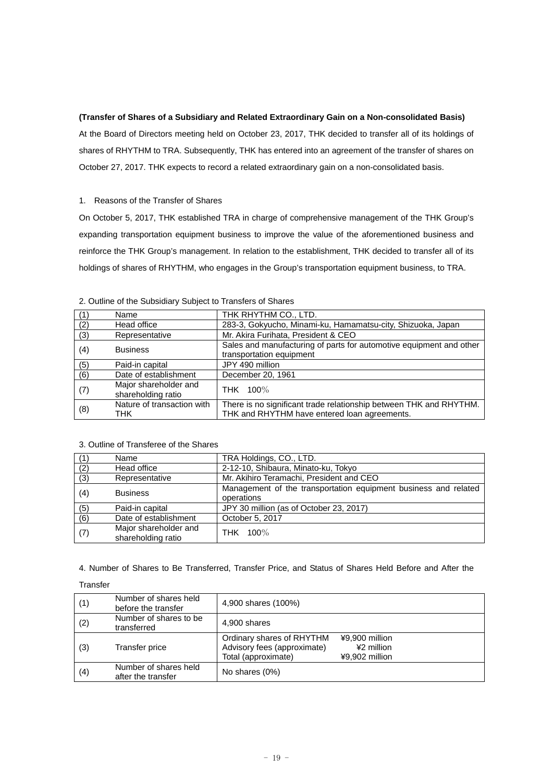### **(Transfer of Shares of a Subsidiary and Related Extraordinary Gain on a Non-consolidated Basis)**

At the Board of Directors meeting held on October 23, 2017, THK decided to transfer all of its holdings of shares of RHYTHM to TRA. Subsequently, THK has entered into an agreement of the transfer of shares on October 27, 2017. THK expects to record a related extraordinary gain on a non-consolidated basis.

# 1. Reasons of the Transfer of Shares

On October 5, 2017, THK established TRA in charge of comprehensive management of the THK Group's expanding transportation equipment business to improve the value of the aforementioned business and reinforce the THK Group's management. In relation to the establishment, THK decided to transfer all of its holdings of shares of RHYTHM, who engages in the Group's transportation equipment business, to TRA.

| (1) | Name                                        | THK RHYTHM CO., LTD.                                                                                               |
|-----|---------------------------------------------|--------------------------------------------------------------------------------------------------------------------|
| (2) | Head office                                 | 283-3, Gokyucho, Minami-ku, Hamamatsu-city, Shizuoka, Japan                                                        |
| (3) | Representative                              | Mr. Akira Furihata, President & CEO                                                                                |
| (4) | <b>Business</b>                             | Sales and manufacturing of parts for automotive equipment and other<br>transportation equipment                    |
| (5) | Paid-in capital                             | JPY 490 million                                                                                                    |
| (6) | Date of establishment                       | December 20, 1961                                                                                                  |
| (7) | Major shareholder and<br>shareholding ratio | THK 100%                                                                                                           |
| (8) | Nature of transaction with<br>THK           | There is no significant trade relationship between THK and RHYTHM.<br>THK and RHYTHM have entered loan agreements. |

# 2. Outline of the Subsidiary Subject to Transfers of Shares

# 3. Outline of Transferee of the Shares

|     | Name                                        | TRA Holdings, CO., LTD.                                                       |
|-----|---------------------------------------------|-------------------------------------------------------------------------------|
| (2) | Head office                                 | 2-12-10, Shibaura, Minato-ku, Tokyo                                           |
| (3) | Representative                              | Mr. Akihiro Teramachi, President and CEO                                      |
| (4) | <b>Business</b>                             | Management of the transportation equipment business and related<br>operations |
| (5) | Paid-in capital                             | JPY 30 million (as of October 23, 2017)                                       |
| (6) | Date of establishment                       | October 5, 2017                                                               |
| (7) | Major shareholder and<br>shareholding ratio | THK 100%                                                                      |

# 4. Number of Shares to Be Transferred, Transfer Price, and Status of Shares Held Before and After the

# Transfer

| (1) | Number of shares held<br>before the transfer | 4,900 shares (100%)                                                                                                               |
|-----|----------------------------------------------|-----------------------------------------------------------------------------------------------------------------------------------|
| (2) | Number of shares to be<br>transferred        | 4,900 shares                                                                                                                      |
| (3) | Transfer price                               | Ordinary shares of RHYTHM<br>¥9,900 million<br>Advisory fees (approximate)<br>¥2 million<br>Total (approximate)<br>¥9,902 million |
| (4) | Number of shares held<br>after the transfer  | No shares (0%)                                                                                                                    |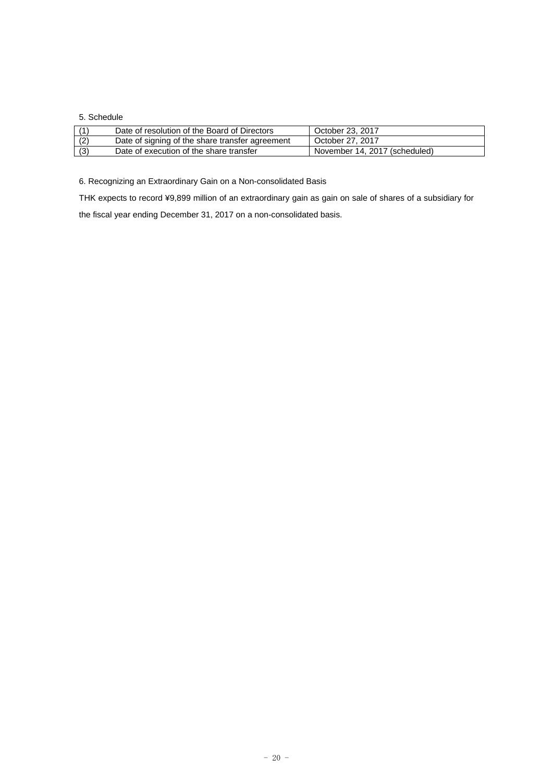## 5. Schedule

|     | Date of resolution of the Board of Directors    | October 23, 2017              |
|-----|-------------------------------------------------|-------------------------------|
| (2) | Date of signing of the share transfer agreement | October 27, 2017              |
| (3) | Date of execution of the share transfer         | November 14, 2017 (scheduled) |

6. Recognizing an Extraordinary Gain on a Non-consolidated Basis

THK expects to record ¥9,899 million of an extraordinary gain as gain on sale of shares of a subsidiary for the fiscal year ending December 31, 2017 on a non-consolidated basis.